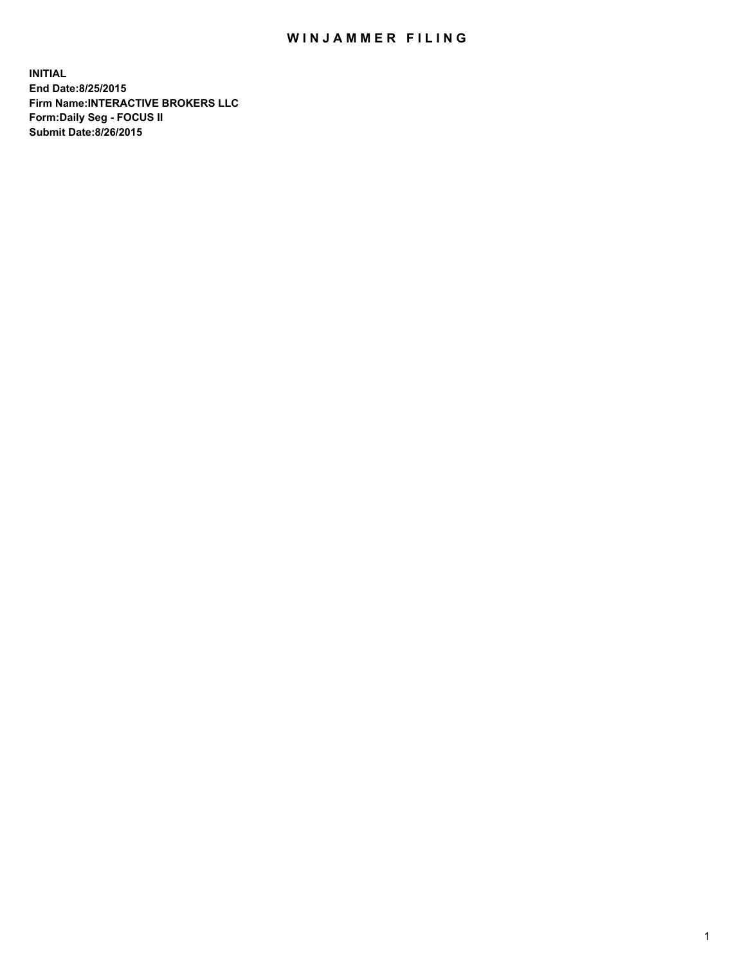## WIN JAMMER FILING

**INITIAL End Date:8/25/2015 Firm Name:INTERACTIVE BROKERS LLC Form:Daily Seg - FOCUS II Submit Date:8/26/2015**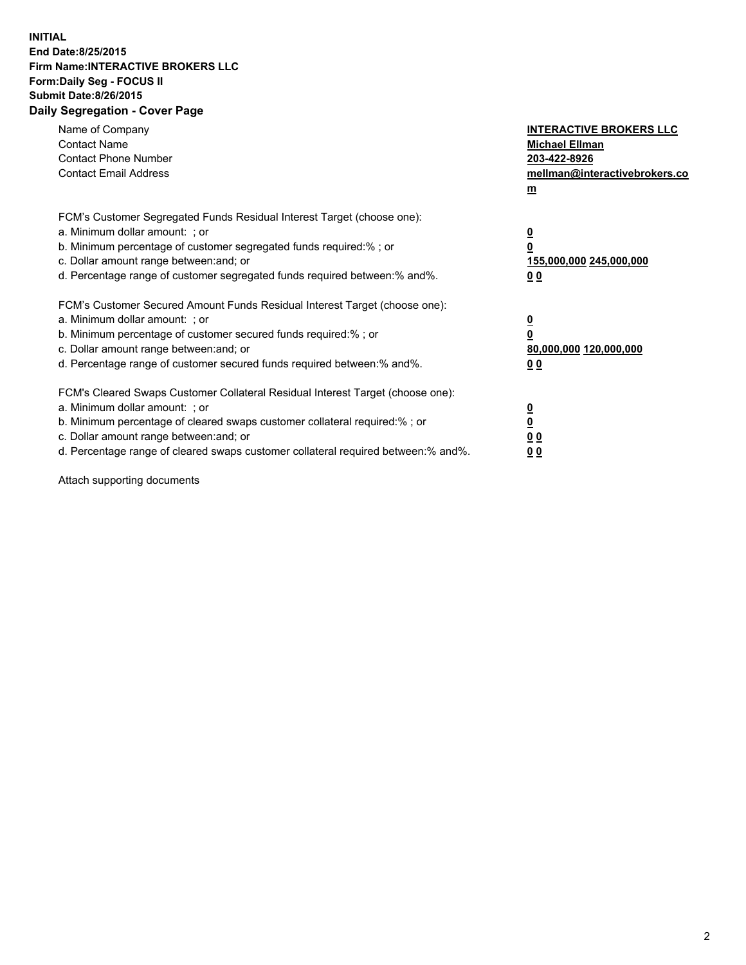## **INITIAL End Date:8/25/2015 Firm Name:INTERACTIVE BROKERS LLC Form:Daily Seg - FOCUS II Submit Date:8/26/2015 Daily Segregation - Cover Page**

| Name of Company<br><b>Contact Name</b><br><b>Contact Phone Number</b><br><b>Contact Email Address</b>                                                                                                                                                                                                                          | <b>INTERACTIVE BROKERS LLC</b><br><b>Michael Ellman</b><br>203-422-8926<br>mellman@interactivebrokers.co<br>$m$ |
|--------------------------------------------------------------------------------------------------------------------------------------------------------------------------------------------------------------------------------------------------------------------------------------------------------------------------------|-----------------------------------------------------------------------------------------------------------------|
| FCM's Customer Segregated Funds Residual Interest Target (choose one):<br>a. Minimum dollar amount: ; or<br>b. Minimum percentage of customer segregated funds required:% ; or<br>c. Dollar amount range between: and; or<br>d. Percentage range of customer segregated funds required between: % and %.                       | $\overline{\mathbf{0}}$<br>0<br>155,000,000 245,000,000<br>00                                                   |
| FCM's Customer Secured Amount Funds Residual Interest Target (choose one):<br>a. Minimum dollar amount: ; or<br>b. Minimum percentage of customer secured funds required:%; or<br>c. Dollar amount range between: and; or<br>d. Percentage range of customer secured funds required between: % and %.                          | $\overline{\mathbf{0}}$<br>0<br>80,000,000 120,000,000<br>0 <sub>0</sub>                                        |
| FCM's Cleared Swaps Customer Collateral Residual Interest Target (choose one):<br>a. Minimum dollar amount: ; or<br>b. Minimum percentage of cleared swaps customer collateral required:% ; or<br>c. Dollar amount range between: and; or<br>d. Percentage range of cleared swaps customer collateral required between:% and%. | $\overline{\mathbf{0}}$<br>$\underline{\mathbf{0}}$<br>0 <sub>0</sub><br>0 <sub>0</sub>                         |

Attach supporting documents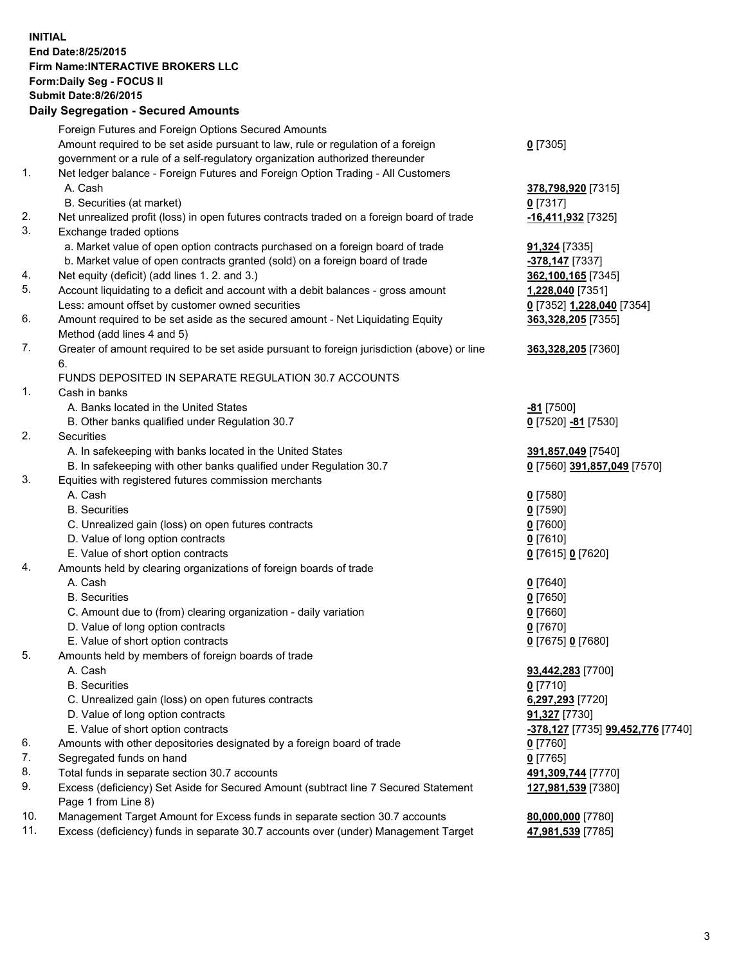## **INITIAL End Date:8/25/2015 Firm Name:INTERACTIVE BROKERS LLC Form:Daily Seg - FOCUS II Submit Date:8/26/2015 Daily Segregation - Secured Amounts**

|     | Dany Ocgregation - Oceanea Annoanta                                                         |                                                       |
|-----|---------------------------------------------------------------------------------------------|-------------------------------------------------------|
|     | Foreign Futures and Foreign Options Secured Amounts                                         |                                                       |
|     | Amount required to be set aside pursuant to law, rule or regulation of a foreign            | $0$ [7305]                                            |
|     | government or a rule of a self-regulatory organization authorized thereunder                |                                                       |
| 1.  | Net ledger balance - Foreign Futures and Foreign Option Trading - All Customers             |                                                       |
|     | A. Cash                                                                                     | 378,798,920 [7315]                                    |
|     | B. Securities (at market)                                                                   | $0$ [7317]                                            |
| 2.  | Net unrealized profit (loss) in open futures contracts traded on a foreign board of trade   | -16,411,932 <sup>[7325]</sup>                         |
| 3.  | Exchange traded options                                                                     |                                                       |
|     | a. Market value of open option contracts purchased on a foreign board of trade              | <b>91,324</b> [7335]                                  |
|     | b. Market value of open contracts granted (sold) on a foreign board of trade                | -378,147 [7337]                                       |
| 4.  | Net equity (deficit) (add lines 1.2. and 3.)                                                | 362,100,165 [7345]                                    |
| 5.  | Account liquidating to a deficit and account with a debit balances - gross amount           | 1,228,040 [7351]                                      |
|     | Less: amount offset by customer owned securities                                            | 0 [7352] 1,228,040 [7354]                             |
| 6.  | Amount required to be set aside as the secured amount - Net Liquidating Equity              | 363,328,205 [7355]                                    |
|     | Method (add lines 4 and 5)                                                                  |                                                       |
| 7.  | Greater of amount required to be set aside pursuant to foreign jurisdiction (above) or line | 363,328,205 [7360]                                    |
|     | 6.                                                                                          |                                                       |
|     | FUNDS DEPOSITED IN SEPARATE REGULATION 30.7 ACCOUNTS                                        |                                                       |
| 1.  | Cash in banks                                                                               |                                                       |
|     | A. Banks located in the United States                                                       | <u>-81</u> [7500]                                     |
|     | B. Other banks qualified under Regulation 30.7                                              | 0 [7520] -81 [7530]                                   |
| 2.  | Securities                                                                                  |                                                       |
|     | A. In safekeeping with banks located in the United States                                   | 391,857,049 [7540]                                    |
|     | B. In safekeeping with other banks qualified under Regulation 30.7                          | 0 [7560] 391,857,049 [7570]                           |
| 3.  | Equities with registered futures commission merchants                                       |                                                       |
|     | A. Cash                                                                                     | $0$ [7580]                                            |
|     | <b>B.</b> Securities                                                                        | $0$ [7590]                                            |
|     | C. Unrealized gain (loss) on open futures contracts                                         | $0$ [7600]                                            |
|     | D. Value of long option contracts                                                           | $0$ [7610]                                            |
|     | E. Value of short option contracts                                                          | 0 [7615] 0 [7620]                                     |
| 4.  | Amounts held by clearing organizations of foreign boards of trade                           |                                                       |
|     | A. Cash                                                                                     | $0$ [7640]                                            |
|     | <b>B.</b> Securities                                                                        | $0$ [7650]                                            |
|     | C. Amount due to (from) clearing organization - daily variation                             | $0$ [7660]                                            |
|     | D. Value of long option contracts                                                           | $0$ [7670]                                            |
|     | E. Value of short option contracts                                                          | 0 [7675] 0 [7680]                                     |
| 5.  | Amounts held by members of foreign boards of trade                                          |                                                       |
|     | A. Cash                                                                                     | 93,442,283 [7700]                                     |
|     | <b>B.</b> Securities                                                                        | $0$ [7710]                                            |
|     | C. Unrealized gain (loss) on open futures contracts                                         | 6,297,293 [7720]                                      |
|     | D. Value of long option contracts                                                           | 91,327 [7730]                                         |
|     | E. Value of short option contracts                                                          | <mark>-378,127</mark> [7735] <b>99,452,776</b> [7740] |
| 6.  | Amounts with other depositories designated by a foreign board of trade                      | $0$ [7760]                                            |
| 7.  | Segregated funds on hand                                                                    | $0$ [7765]                                            |
| 8.  | Total funds in separate section 30.7 accounts                                               | 491,309,744 [7770]                                    |
| 9.  | Excess (deficiency) Set Aside for Secured Amount (subtract line 7 Secured Statement         | 127,981,539 [7380]                                    |
|     | Page 1 from Line 8)                                                                         |                                                       |
| 10. | Management Target Amount for Excess funds in separate section 30.7 accounts                 | 80,000,000 [7780]                                     |
| 11. | Excess (deficiency) funds in separate 30.7 accounts over (under) Management Target          | 47,981,539 [7785]                                     |
|     |                                                                                             |                                                       |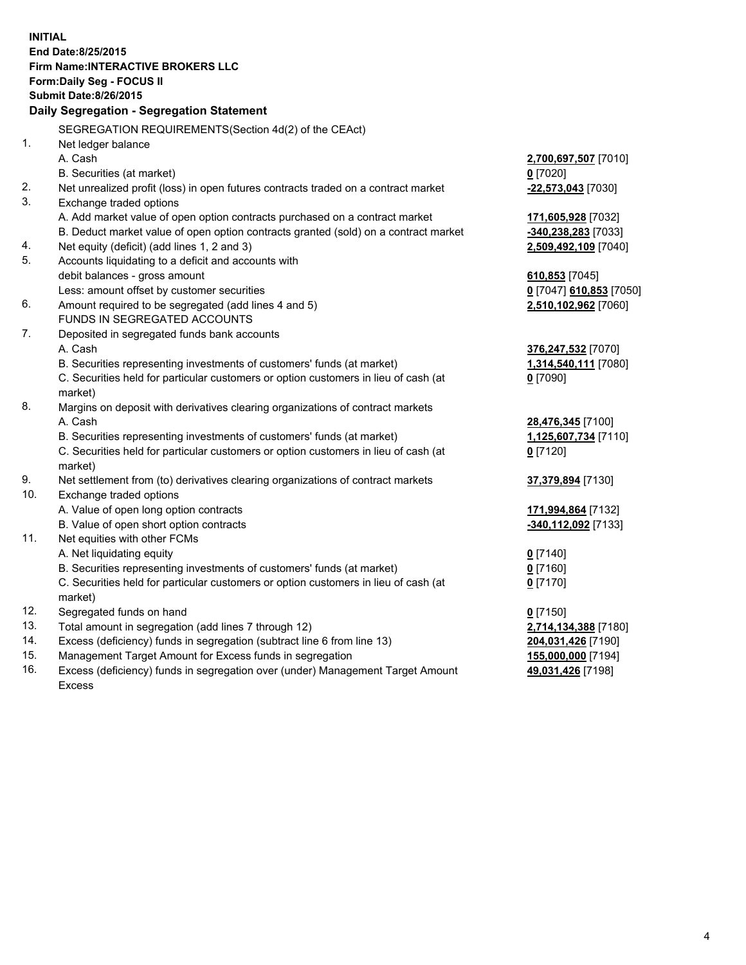**INITIAL End Date:8/25/2015 Firm Name:INTERACTIVE BROKERS LLC Form:Daily Seg - FOCUS II Submit Date:8/26/2015 Daily Segregation - Segregation Statement** SEGREGATION REQUIREMENTS(Section 4d(2) of the CEAct) 1. Net ledger balance A. Cash **2,700,697,507** [7010] B. Securities (at market) **0** [7020] 2. Net unrealized profit (loss) in open futures contracts traded on a contract market **-22,573,043** [7030] 3. Exchange traded options A. Add market value of open option contracts purchased on a contract market **171,605,928** [7032] B. Deduct market value of open option contracts granted (sold) on a contract market **-340,238,283** [7033] 4. Net equity (deficit) (add lines 1, 2 and 3) **2,509,492,109** [7040] 5. Accounts liquidating to a deficit and accounts with debit balances - gross amount **610,853** [7045] Less: amount offset by customer securities **0** [7047] **610,853** [7050] 6. Amount required to be segregated (add lines 4 and 5) **2,510,102,962** [7060] FUNDS IN SEGREGATED ACCOUNTS 7. Deposited in segregated funds bank accounts A. Cash **376,247,532** [7070] B. Securities representing investments of customers' funds (at market) **1,314,540,111** [7080] C. Securities held for particular customers or option customers in lieu of cash (at market) **0** [7090] 8. Margins on deposit with derivatives clearing organizations of contract markets A. Cash **28,476,345** [7100] B. Securities representing investments of customers' funds (at market) **1,125,607,734** [7110] C. Securities held for particular customers or option customers in lieu of cash (at market) **0** [7120] 9. Net settlement from (to) derivatives clearing organizations of contract markets **37,379,894** [7130] 10. Exchange traded options A. Value of open long option contracts **171,994,864** [7132] B. Value of open short option contracts **-340,112,092** [7133] 11. Net equities with other FCMs A. Net liquidating equity **0** [7140] B. Securities representing investments of customers' funds (at market) **0** [7160] C. Securities held for particular customers or option customers in lieu of cash (at market) **0** [7170] 12. Segregated funds on hand **0** [7150] 13. Total amount in segregation (add lines 7 through 12) **2,714,134,388** [7180] 14. Excess (deficiency) funds in segregation (subtract line 6 from line 13) **204,031,426** [7190] 15. Management Target Amount for Excess funds in segregation **155,000,000** [7194] **49,031,426** [7198]

16. Excess (deficiency) funds in segregation over (under) Management Target Amount Excess